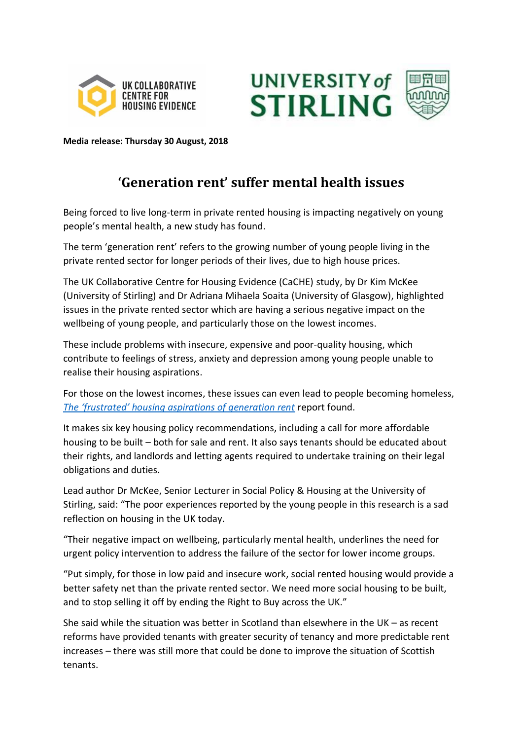



**Media release: Thursday 30 August, 2018**

# **'Generation rent' suffer mental health issues**

Being forced to live long-term in private rented housing is impacting negatively on young people's mental health, a new study has found.

The term 'generation rent' refers to the growing number of young people living in the private rented sector for longer periods of their lives, due to high house prices.

The UK Collaborative Centre for Housing Evidence (CaCHE) study, by Dr Kim McKee (University of Stirling) and Dr Adriana Mihaela Soaita (University of Glasgow), highlighted issues in the private rented sector which are having a serious negative impact on the wellbeing of young people, and particularly those on the lowest incomes.

These include problems with insecure, expensive and poor-quality housing, which contribute to feelings of stress, anxiety and depression among young people unable to realise their housing aspirations.

For those on the lowest incomes, these issues can even lead to people becoming homeless, *[The 'frustrated' housing aspirations of generation rent](http://housingevidence.ac.uk/publications/the-frustrated-housing-aspirations-of-generation-rent)* report found.

It makes six key housing policy recommendations, including a call for more affordable housing to be built – both for sale and rent. It also says tenants should be educated about their rights, and landlords and letting agents required to undertake training on their legal obligations and duties.

Lead author Dr McKee, Senior Lecturer in Social Policy & Housing at the University of Stirling, said: "The poor experiences reported by the young people in this research is a sad reflection on housing in the UK today.

"Their negative impact on wellbeing, particularly mental health, underlines the need for urgent policy intervention to address the failure of the sector for lower income groups.

"Put simply, for those in low paid and insecure work, social rented housing would provide a better safety net than the private rented sector. We need more social housing to be built, and to stop selling it off by ending the Right to Buy across the UK."

She said while the situation was better in Scotland than elsewhere in the UK – as recent reforms have provided tenants with greater security of tenancy and more predictable rent increases – there was still more that could be done to improve the situation of Scottish tenants.